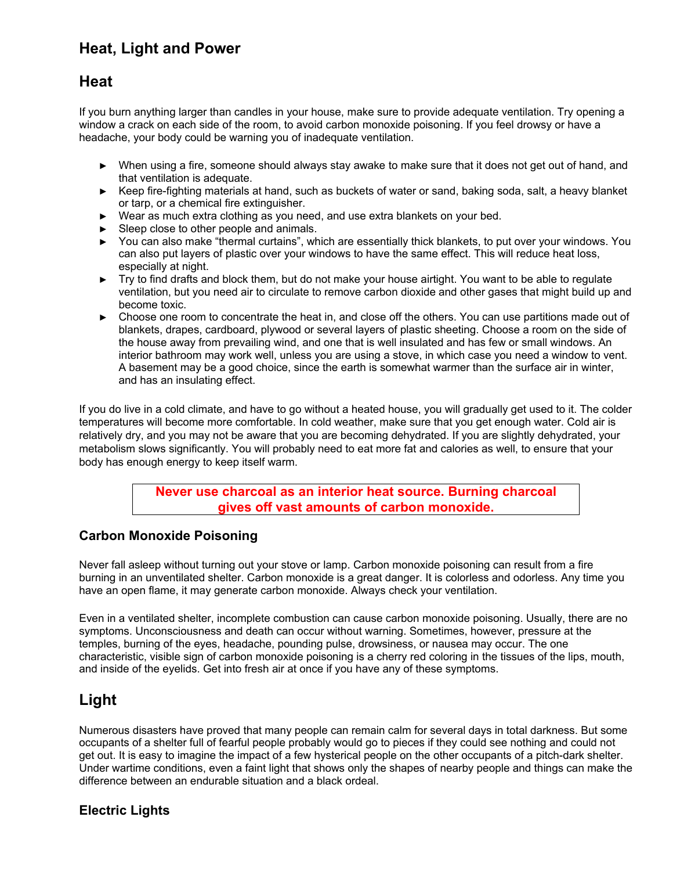# **Heat, Light and Power**

## **Heat**

If you burn anything larger than candles in your house, make sure to provide adequate ventilation. Try opening a window a crack on each side of the room, to avoid carbon monoxide poisoning. If you feel drowsy or have a headache, your body could be warning you of inadequate ventilation.

- ► When using a fire, someone should always stay awake to make sure that it does not get out of hand, and that ventilation is adequate.
- ► Keep fire-fighting materials at hand, such as buckets of water or sand, baking soda, salt, a heavy blanket or tarp, or a chemical fire extinguisher.
- ► Wear as much extra clothing as you need, and use extra blankets on your bed.
- ► Sleep close to other people and animals.
- ► You can also make "thermal curtains", which are essentially thick blankets, to put over your windows. You can also put layers of plastic over your windows to have the same effect. This will reduce heat loss, especially at night.
- ► Try to find drafts and block them, but do not make your house airtight. You want to be able to regulate ventilation, but you need air to circulate to remove carbon dioxide and other gases that might build up and become toxic.
- ► Choose one room to concentrate the heat in, and close off the others. You can use partitions made out of blankets, drapes, cardboard, plywood or several layers of plastic sheeting. Choose a room on the side of the house away from prevailing wind, and one that is well insulated and has few or small windows. An interior bathroom may work well, unless you are using a stove, in which case you need a window to vent. A basement may be a good choice, since the earth is somewhat warmer than the surface air in winter, and has an insulating effect.

If you do live in a cold climate, and have to go without a heated house, you will gradually get used to it. The colder temperatures will become more comfortable. In cold weather, make sure that you get enough water. Cold air is relatively dry, and you may not be aware that you are becoming dehydrated. If you are slightly dehydrated, your metabolism slows significantly. You will probably need to eat more fat and calories as well, to ensure that your body has enough energy to keep itself warm.

> **Never use charcoal as an interior heat source. Burning charcoal gives off vast amounts of carbon monoxide.**

#### **Carbon Monoxide Poisoning**

Never fall asleep without turning out your stove or lamp. Carbon monoxide poisoning can result from a fire burning in an unventilated shelter. Carbon monoxide is a great danger. It is colorless and odorless. Any time you have an open flame, it may generate carbon monoxide. Always check your ventilation.

Even in a ventilated shelter, incomplete combustion can cause carbon monoxide poisoning. Usually, there are no symptoms. Unconsciousness and death can occur without warning. Sometimes, however, pressure at the temples, burning of the eyes, headache, pounding pulse, drowsiness, or nausea may occur. The one characteristic, visible sign of carbon monoxide poisoning is a cherry red coloring in the tissues of the lips, mouth, and inside of the eyelids. Get into fresh air at once if you have any of these symptoms.

## **Light**

Numerous disasters have proved that many people can remain calm for several days in total darkness. But some occupants of a shelter full of fearful people probably would go to pieces if they could see nothing and could not get out. It is easy to imagine the impact of a few hysterical people on the other occupants of a pitch-dark shelter. Under wartime conditions, even a faint light that shows only the shapes of nearby people and things can make the difference between an endurable situation and a black ordeal.

#### **Electric Lights**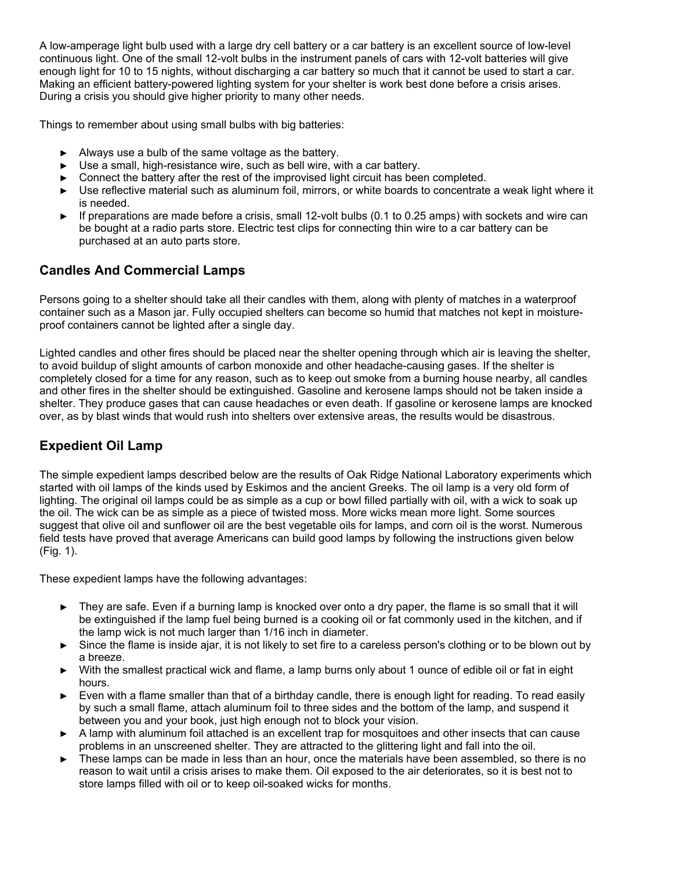A low-amperage light bulb used with a large dry cell battery or a car battery is an excellent source of low-level continuous light. One of the small 12-volt bulbs in the instrument panels of cars with 12-volt batteries will give enough light for 10 to 15 nights, without discharging a car battery so much that it cannot be used to start a car. Making an efficient battery-powered lighting system for your shelter is work best done before a crisis arises. During a crisis you should give higher priority to many other needs.

Things to remember about using small bulbs with big batteries:

- ► Always use a bulb of the same voltage as the battery.
- ► Use a small, high-resistance wire, such as bell wire, with a car battery.
- ► Connect the battery after the rest of the improvised light circuit has been completed.
- ► Use reflective material such as aluminum foil, mirrors, or white boards to concentrate a weak light where it is needed.
- If preparations are made before a crisis, small 12-volt bulbs (0.1 to 0.25 amps) with sockets and wire can be bought at a radio parts store. Electric test clips for connecting thin wire to a car battery can be purchased at an auto parts store.

#### **Candles And Commercial Lamps**

Persons going to a shelter should take all their candles with them, along with plenty of matches in a waterproof container such as a Mason jar. Fully occupied shelters can become so humid that matches not kept in moistureproof containers cannot be lighted after a single day.

Lighted candles and other fires should be placed near the shelter opening through which air is leaving the shelter, to avoid buildup of slight amounts of carbon monoxide and other headache-causing gases. If the shelter is completely closed for a time for any reason, such as to keep out smoke from a burning house nearby, all candles and other fires in the shelter should be extinguished. Gasoline and kerosene lamps should not be taken inside a shelter. They produce gases that can cause headaches or even death. If gasoline or kerosene lamps are knocked over, as by blast winds that would rush into shelters over extensive areas, the results would be disastrous.

#### **Expedient Oil Lamp**

The simple expedient lamps described below are the results of Oak Ridge National Laboratory experiments which started with oil lamps of the kinds used by Eskimos and the ancient Greeks. The oil lamp is a very old form of lighting. The original oil lamps could be as simple as a cup or bowl filled partially with oil, with a wick to soak up the oil. The wick can be as simple as a piece of twisted moss. More wicks mean more light. Some sources suggest that olive oil and sunflower oil are the best vegetable oils for lamps, and corn oil is the worst. Numerous field tests have proved that average Americans can build good lamps by following the instructions given below (Fig. 1).

These expedient lamps have the following advantages:

- ► They are safe. Even if a burning lamp is knocked over onto a dry paper, the flame is so small that it will be extinguished if the lamp fuel being burned is a cooking oil or fat commonly used in the kitchen, and if the lamp wick is not much larger than 1/16 inch in diameter.
- ► Since the flame is inside ajar, it is not likely to set fire to a careless person's clothing or to be blown out by a breeze.
- With the smallest practical wick and flame, a lamp burns only about 1 ounce of edible oil or fat in eight hours.
- Even with a flame smaller than that of a birthday candle, there is enough light for reading. To read easily by such a small flame, attach aluminum foil to three sides and the bottom of the lamp, and suspend it between you and your book, just high enough not to block your vision.
- ► A lamp with aluminum foil attached is an excellent trap for mosquitoes and other insects that can cause problems in an unscreened shelter. They are attracted to the glittering light and fall into the oil.
- These lamps can be made in less than an hour, once the materials have been assembled, so there is no reason to wait until a crisis arises to make them. Oil exposed to the air deteriorates, so it is best not to store lamps filled with oil or to keep oil-soaked wicks for months.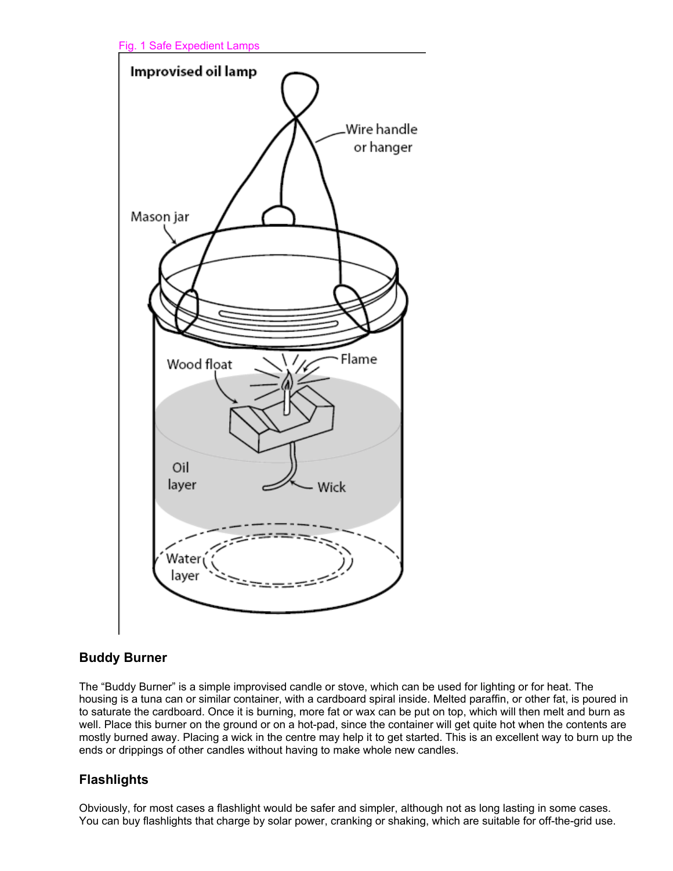

### **Buddy Burner**

The "Buddy Burner" is a simple improvised candle or stove, which can be used for lighting or for heat. The housing is a tuna can or similar container, with a cardboard spiral inside. Melted paraffin, or other fat, is poured in to saturate the cardboard. Once it is burning, more fat or wax can be put on top, which will then melt and burn as well. Place this burner on the ground or on a hot-pad, since the container will get quite hot when the contents are mostly burned away. Placing a wick in the centre may help it to get started. This is an excellent way to burn up the ends or drippings of other candles without having to make whole new candles.

### **Flashlights**

Obviously, for most cases a flashlight would be safer and simpler, although not as long lasting in some cases. You can buy flashlights that charge by solar power, cranking or shaking, which are suitable for off-the-grid use.